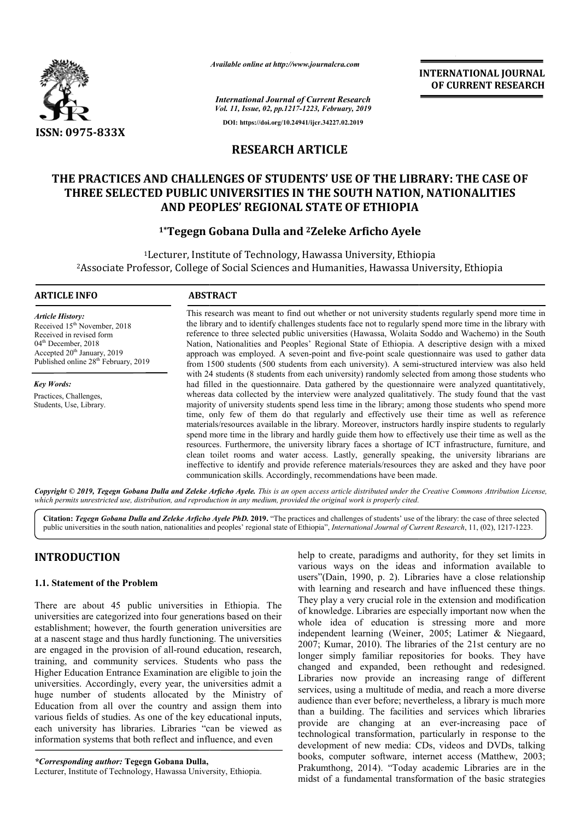

*Available online at http://www.journalcra.com*

*International Journal of Current Research Vol. 11, Issue, 02, pp.1217-1223, February, 2019* **DOI: https://doi.org/10.24941/ijcr.34227.02.2019**

**INTERNATIONAL JOURNAL OF CURRENT RESEARCH**

## **RESEARCH ARTICLE**

# **THE PRACTICES AND CHALLENGES OF STUDENTS' USE OF THE LIBRARY: THE CASE OF THREE SELECTED PUBLIC UNIVERSITIES IN THE SOUTH NATION, NATIONALITIES AND PEOPLES' REGIONAL STATE OF ETHIOPIA** AND CHALLENGES OF STUDENTS' USE OF THE LIBRARY: THE CASE OF<br>TED PUBLIC UNIVERSITIES IN THE SOUTH NATION, NATIONALITIES<br>AND PEOPLES' REGIONAL STATE OF ETHIOPIA<br><sup>1\*</sup>Tegegn Gobana Dulla and <sup>2</sup>Zeleke Arficho Ayele

## **1\*Tegegn Gobana Dulla Tegegn and 2Zeleke Arficho Ayele**

<sup>1</sup>Lecturer, Institute of Technology, Hawassa University, Ethiopia 2Associate Professor, College of Social Sciences and Humanities, Hawassa University, Ethiopia Associate

#### **ARTICLE INFO ABSTRACT**

*Article History:* Received 15<sup>th</sup> November, 2018 Received in revised form 04<sup>th</sup> December, 2018 Accepted 20<sup>th</sup> January, 2019 Published online 28<sup>th</sup> February, 2019

*Key Words:* Practices, Challenges, Students, Use, Library.

This research was meant to find out whether or not university students regularly spend more time in the library and to identify challenges students face not to regularly spend more time in the library with reference to three selected public universities (Hawassa, Wolaita Soddo and Wachemo) in the South Nation, Nationalities and Peoples' Regional State of Ethiopia. A descriptive design with a mixed approach was employed. A seven-point and five-point scale questionnaire was used to gather data from 1500 students (500 students from each university). A semiwith 24 students (8 students from each university) randomly selected from among those students who with 24 students (8 students from each university) randomly selected from among those students who had filled in the questionnaire. Data gathered by the questionnaire were analyzed quantitatively, whereas data collected by the interview were analyzed qualitatively. The study found that the vast majority of university students spend less time in the library; among those students who spend more time, only few of them do that regularly and effectively use their time as well as reference materials/resources available in the library. Moreover, instructors hardly inspire students to regularly spend more time in the library and hardly guide them how to effectively use their time as w resources resources. Furthermore, the university library faces a shortage of ICT infrastructure, furniture, and clean toilet rooms and water access. Lastly, generally speaking, the university librarians are ineffective to identify and provide reference ma materials/resources they are asked and they have poor communication skills. Accordingly, recommendations have been made. This research was meant to find out whether or not university students regularly spend more time in the library and to identify challenges students face not to regularly spend more time in the library with reference to thr less time in the library; among those students who spend more gularly and effectively use their time as well as reference brary. Moreover, instructors hardly inspire students to regularly rdly guide them how to effectively resources. Furthermore, the university library faces a shortage of ICT infrastructure, furniture, clean toilet rooms and water access. Lastly, generally speaking, the university librarians ineffective to identify and provi

Copyright © 2019, Tegegn Gobana Dulla and Zeleke Arficho Ayele. This is an open access article distributed under the Creative Commons Attribution License, which permits unrestricted use, distribution, and reproduction in any medium, provided the original work is properly cited.

Citation: *Tegegn Gobana Dulla and Zeleke Arficho Ayele PhD. 2019. "The practices and challenges of students' use of the library: the case of three selected* Citation: *Tegegn Gobana Dulla and Zeleke Arficho Ayele PhD.* 2019. "The practices and challenges of students' use of the library: the case of three selected public universities in the south nation, nationalities and peopl

## **INTRODUCTION**

#### **1.1. Statement of the Problem**

There are about 45 public universities in Ethiopia. The universities are categorized into four generations based on their establishment; however, the fourth generation universities are at a nascent stage and thus hardly functioning. The universities are engaged in the provision of all-round education, research, training, and community services. Students who pass the Higher Education Entrance Examination are eligible to join the universities. Accordingly, every year, the universities admit a huge number of students allocated by the Ministry of Education from all over the country and assign them into various fields of studies. As one of the key educational inputs, each university has libraries. Libraries "can be viewed as information systems that both reflect and influence, and even rovision of all-round education, rese<br>unity services. Students who pass<br>trance Examination are eligible to joi<br>ngly, every year, the universities ad<br>tudents allocated by the Ministr<br>over the country and assign them<br>ies. As

#### *\*Corresponding author:* **Tegegn Gobana Dulla,**

Lecturer, Institute of Technology, Hawassa University, Ethiopia

help to create, paradigms and authority, for they set limits in various ways on the ideas and information available to users"(Dain, 1990, p. 2). Libraries have a close relationship with learning and research and have influenced these things. They play a very crucial role in the extension and modification of knowledge. Libraries are especially important now when the whole idea of education is stressing more and more independent learning (Weiner, 2005; Latimer & Niegaard, 2007; Kumar, 2010). The libraries of the 21st century are no longer simply familiar repositories for books. They have changed and expanded, been rethought and redesigned. Libraries now provide an increasing range of different services, using a multitude of media, and reach a more diverse audience than ever before; nevertheless, a library is much more than a building. The facilities and services which libraries provide are changing at an ever-increasing pace of technological transformation, particularly in response to the development of new media: CDs, videos and DVDs, talking books, computer software, internet access (Matthew, 2003; Prakumthong, 2014). "Today academic Libraries are in the midst of a fundamental transformation of the basic strategies create, paradigms and authority, for they set limits in ways on the ideas and information available to Dain, 1990, p. 2). Libraries have a close relationship urning and research and have influenced these things. ay a very ged and expanded, been rethought and redesigned.<br>aries now provide an increasing range of different<br>ices, using a multitude of media, and reach a more diverse<br>ence than ever before; nevertheless, a library is much more<br>a b **INTERNATIONAL JOURNAL OF CURRENT RESEARCH (IF CASE OF SURFAIL OF CURRENT RESEARCH (IF CASE OF ATION), NATIONAL ITIES (IF CASE OF ATION), NATIONAL ITIES (IF TO ALL TO ASSEMBLA SCALE TO ASSEMBLA SCALE (IF TO A Agree transf**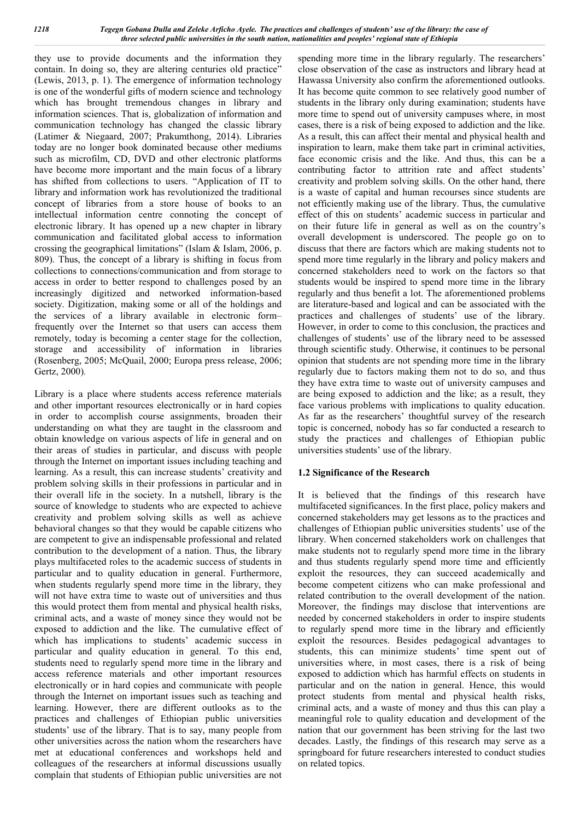they use to provide documents and the information they contain. In doing so, they are altering centuries old practice" (Lewis, 2013, p. 1). The emergence of information technology is one of the wonderful gifts of modern science and technology which has brought tremendous changes in library and information sciences. That is, globalization of information and communication technology has changed the classic library (Latimer & Niegaard, 2007; Prakumthong, 2014). Libraries today are no longer book dominated because other mediums such as microfilm, CD, DVD and other electronic platforms have become more important and the main focus of a library has shifted from collections to users. "Application of IT to library and information work has revolutionized the traditional concept of libraries from a store house of books to an intellectual information centre connoting the concept of electronic library. It has opened up a new chapter in library communication and facilitated global access to information crossing the geographical limitations" (Islam & Islam, 2006, p. 809). Thus, the concept of a library is shifting in focus from collections to connections/communication and from storage to access in order to better respond to challenges posed by an increasingly digitized and networked information-based society. Digitization, making some or all of the holdings and the services of a library available in electronic form– frequently over the Internet so that users can access them remotely, today is becoming a center stage for the collection, storage and accessibility of information in libraries (Rosenberg, 2005; McQuail, 2000; Europa press release, 2006; Gertz, 2000)*.*

Library is a place where students access reference materials and other important resources electronically or in hard copies in order to accomplish course assignments, broaden their understanding on what they are taught in the classroom and obtain knowledge on various aspects of life in general and on their areas of studies in particular, and discuss with people through the Internet on important issues including teaching and learning. As a result, this can increase students' creativity and problem solving skills in their professions in particular and in their overall life in the society. In a nutshell, library is the source of knowledge to students who are expected to achieve creativity and problem solving skills as well as achieve behavioral changes so that they would be capable citizens who are competent to give an indispensable professional and related contribution to the development of a nation. Thus, the library plays multifaceted roles to the academic success of students in particular and to quality education in general. Furthermore, when students regularly spend more time in the library, they will not have extra time to waste out of universities and thus this would protect them from mental and physical health risks, criminal acts, and a waste of money since they would not be exposed to addiction and the like. The cumulative effect of which has implications to students' academic success in particular and quality education in general. To this end, students need to regularly spend more time in the library and access reference materials and other important resources electronically or in hard copies and communicate with people through the Internet on important issues such as teaching and learning. However, there are different outlooks as to the practices and challenges of Ethiopian public universities students' use of the library. That is to say, many people from other universities across the nation whom the researchers have met at educational conferences and workshops held and colleagues of the researchers at informal discussions usually complain that students of Ethiopian public universities are not

spending more time in the library regularly. The researchers' close observation of the case as instructors and library head at Hawassa University also confirm the aforementioned outlooks. It has become quite common to see relatively good number of students in the library only during examination; students have more time to spend out of university campuses where, in most cases, there is a risk of being exposed to addiction and the like. As a result, this can affect their mental and physical health and inspiration to learn, make them take part in criminal activities, face economic crisis and the like. And thus, this can be a contributing factor to attrition rate and affect students' creativity and problem solving skills. On the other hand, there is a waste of capital and human recourses since students are not efficiently making use of the library. Thus, the cumulative effect of this on students' academic success in particular and on their future life in general as well as on the country's overall development is underscored. The people go on to discuss that there are factors which are making students not to spend more time regularly in the library and policy makers and concerned stakeholders need to work on the factors so that students would be inspired to spend more time in the library regularly and thus benefit a lot. The aforementioned problems are literature-based and logical and can be associated with the practices and challenges of students' use of the library. However, in order to come to this conclusion, the practices and challenges of students' use of the library need to be assessed through scientific study. Otherwise, it continues to be personal opinion that students are not spending more time in the library regularly due to factors making them not to do so, and thus they have extra time to waste out of university campuses and are being exposed to addiction and the like; as a result, they face various problems with implications to quality education. As far as the researchers' thoughtful survey of the research topic is concerned, nobody has so far conducted a research to study the practices and challenges of Ethiopian public universities students' use of the library.

#### **1.2 Significance of the Research**

It is believed that the findings of this research have multifaceted significances. In the first place, policy makers and concerned stakeholders may get lessons as to the practices and challenges of Ethiopian public universities students' use of the library. When concerned stakeholders work on challenges that make students not to regularly spend more time in the library and thus students regularly spend more time and efficiently exploit the resources, they can succeed academically and become competent citizens who can make professional and related contribution to the overall development of the nation. Moreover, the findings may disclose that interventions are needed by concerned stakeholders in order to inspire students to regularly spend more time in the library and efficiently exploit the resources. Besides pedagogical advantages to students, this can minimize students' time spent out of universities where, in most cases, there is a risk of being exposed to addiction which has harmful effects on students in particular and on the nation in general. Hence, this would protect students from mental and physical health risks, criminal acts, and a waste of money and thus this can play a meaningful role to quality education and development of the nation that our government has been striving for the last two decades. Lastly, the findings of this research may serve as a springboard for future researchers interested to conduct studies on related topics.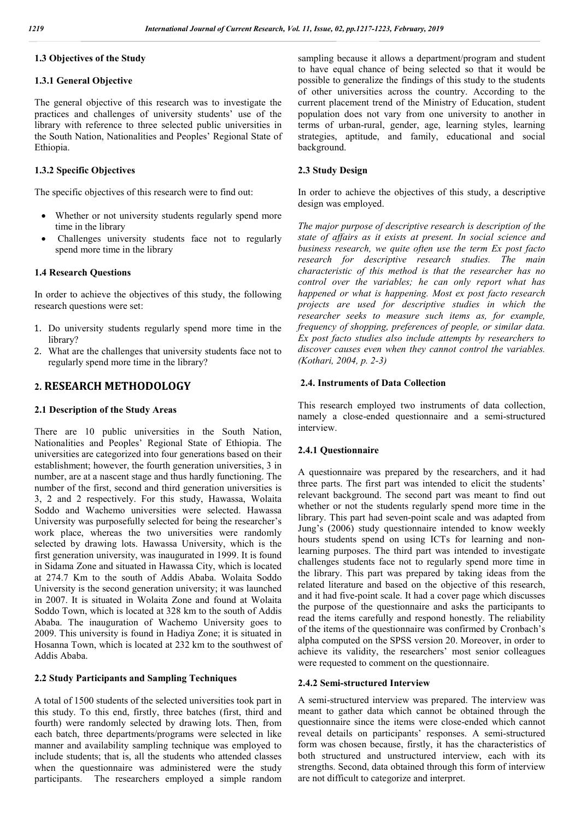#### **1.3 Objectives of the Study**

#### **1.3.1 General Objective**

The general objective of this research was to investigate the practices and challenges of university students' use of the library with reference to three selected public universities in the South Nation, Nationalities and Peoples' Regional State of Ethiopia.

#### **1.3.2 Specific Objectives**

The specific objectives of this research were to find out:

- Whether or not university students regularly spend more time in the library
- Challenges university students face not to regularly spend more time in the library

#### **1.4 Research Questions**

In order to achieve the objectives of this study, the following research questions were set:

- 1. Do university students regularly spend more time in the library?
- 2. What are the challenges that university students face not to regularly spend more time in the library?

#### **2. RESEARCH METHODOLOGY**

#### **2.1 Description of the Study Areas**

There are 10 public universities in the South Nation, Nationalities and Peoples' Regional State of Ethiopia. The universities are categorized into four generations based on their establishment; however, the fourth generation universities, 3 in number, are at a nascent stage and thus hardly functioning. The number of the first, second and third generation universities is 3, 2 and 2 respectively. For this study, Hawassa, Wolaita Soddo and Wachemo universities were selected. Hawassa University was purposefully selected for being the researcher's work place, whereas the two universities were randomly selected by drawing lots. Hawassa University, which is the first generation university, was inaugurated in 1999. It is found in Sidama Zone and situated in Hawassa City, which is located at 274.7 Km to the south of Addis Ababa. Wolaita Soddo University is the second generation university; it was launched in 2007. It is situated in Wolaita Zone and found at Wolaita Soddo Town, which is located at 328 km to the south of Addis Ababa. The inauguration of Wachemo University goes to 2009. This university is found in Hadiya Zone; it is situated in Hosanna Town, which is located at 232 km to the southwest of Addis Ababa.

#### **2.2 Study Participants and Sampling Techniques**

A total of 1500 students of the selected universities took part in this study. To this end, firstly, three batches (first, third and fourth) were randomly selected by drawing lots. Then, from each batch, three departments/programs were selected in like manner and availability sampling technique was employed to include students; that is, all the students who attended classes when the questionnaire was administered were the study participants. The researchers employed a simple random sampling because it allows a department/program and student to have equal chance of being selected so that it would be possible to generalize the findings of this study to the students of other universities across the country. According to the current placement trend of the Ministry of Education, student population does not vary from one university to another in terms of urban-rural, gender, age, learning styles, learning strategies, aptitude, and family, educational and social background.

#### **2.3 Study Design**

In order to achieve the objectives of this study, a descriptive design was employed.

*The major purpose of descriptive research is description of the state of affairs as it exists at present. In social science and business research, we quite often use the term Ex post facto research for descriptive research studies. The main characteristic of this method is that the researcher has no control over the variables; he can only report what has happened or what is happening. Most ex post facto research projects are used for descriptive studies in which the researcher seeks to measure such items as, for example, frequency of shopping, preferences of people, or similar data. Ex post facto studies also include attempts by researchers to discover causes even when they cannot control the variables. (Kothari, 2004, p. 2-3)*

#### **2.4. Instruments of Data Collection**

This research employed two instruments of data collection, namely a close-ended questionnaire and a semi-structured interview.

#### **2.4.1 Questionnaire**

A questionnaire was prepared by the researchers, and it had three parts. The first part was intended to elicit the students' relevant background. The second part was meant to find out whether or not the students regularly spend more time in the library. This part had seven-point scale and was adapted from Jung's (2006) study questionnaire intended to know weekly hours students spend on using ICTs for learning and nonlearning purposes. The third part was intended to investigate challenges students face not to regularly spend more time in the library. This part was prepared by taking ideas from the related literature and based on the objective of this research, and it had five-point scale. It had a cover page which discusses the purpose of the questionnaire and asks the participants to read the items carefully and respond honestly. The reliability of the items of the questionnaire was confirmed by Cronbach's alpha computed on the SPSS version 20. Moreover, in order to achieve its validity, the researchers' most senior colleagues were requested to comment on the questionnaire.

#### **2.4.2 Semi-structured Interview**

A semi-structured interview was prepared. The interview was meant to gather data which cannot be obtained through the questionnaire since the items were close-ended which cannot reveal details on participants' responses. A semi-structured form was chosen because, firstly, it has the characteristics of both structured and unstructured interview, each with its strengths. Second, data obtained through this form of interview are not difficult to categorize and interpret.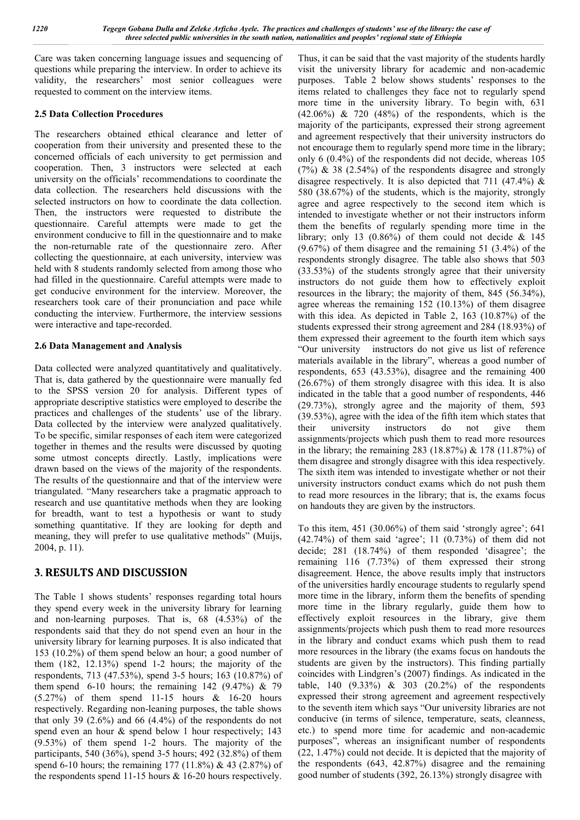Care was taken concerning language issues and sequencing of questions while preparing the interview. In order to achieve its validity, the researchers' most senior colleagues were requested to comment on the interview items.

#### **2.5 Data Collection Procedures**

The researchers obtained ethical clearance and letter of cooperation from their university and presented these to the concerned officials of each university to get permission and cooperation. Then, 3 instructors were selected at each university on the officials' recommendations to coordinate the data collection. The researchers held discussions with the selected instructors on how to coordinate the data collection. Then, the instructors were requested to distribute the questionnaire. Careful attempts were made to get the environment conducive to fill in the questionnaire and to make the non-returnable rate of the questionnaire zero. After collecting the questionnaire, at each university, interview was held with 8 students randomly selected from among those who had filled in the questionnaire. Careful attempts were made to get conducive environment for the interview. Moreover, the researchers took care of their pronunciation and pace while conducting the interview. Furthermore, the interview sessions were interactive and tape-recorded.

### **2.6 Data Management and Analysis**

Data collected were analyzed quantitatively and qualitatively. That is, data gathered by the questionnaire were manually fed to the SPSS version 20 for analysis. Different types of appropriate descriptive statistics were employed to describe the practices and challenges of the students' use of the library. Data collected by the interview were analyzed qualitatively. To be specific, similar responses of each item were categorized together in themes and the results were discussed by quoting some utmost concepts directly. Lastly, implications were drawn based on the views of the majority of the respondents. The results of the questionnaire and that of the interview were triangulated. "Many researchers take a pragmatic approach to research and use quantitative methods when they are looking for breadth, want to test a hypothesis or want to study something quantitative. If they are looking for depth and meaning, they will prefer to use qualitative methods" (Muijs, 2004, p. 11).

## **3. RESULTS AND DISCUSSION**

The Table 1 shows students' responses regarding total hours they spend every week in the university library for learning and non-learning purposes. That is, 68 (4.53%) of the respondents said that they do not spend even an hour in the university library for learning purposes. It is also indicated that 153 (10.2%) of them spend below an hour; a good number of them (182, 12.13%) spend 1-2 hours; the majority of the respondents, 713 (47.53%), spend 3-5 hours; 163 (10.87%) of them spend 6-10 hours; the remaining  $142$  (9.47%) & 79 (5.27%) of them spend 11-15 hours & 16-20 hours respectively. Regarding non-leaning purposes, the table shows that only 39  $(2.6\%)$  and 66  $(4.4\%)$  of the respondents do not spend even an hour & spend below 1 hour respectively; 143 (9.53%) of them spend 1-2 hours. The majority of the participants, 540 (36%), spend 3-5 hours; 492 (32.8%) of them spend 6-10 hours; the remaining 177 (11.8%) & 43 (2.87%) of the respondents spend 11-15 hours  $\&$  16-20 hours respectively.

Thus, it can be said that the vast majority of the students hardly visit the university library for academic and non-academic purposes. Table 2 below shows students' responses to the items related to challenges they face not to regularly spend more time in the university library. To begin with, 631  $(42.06\%) \& 720$   $(48\%)$  of the respondents, which is the majority of the participants, expressed their strong agreement and agreement respectively that their university instructors do not encourage them to regularly spend more time in the library; only 6 (0.4%) of the respondents did not decide, whereas 105  $(7%)$  & 38  $(2.54%)$  of the respondents disagree and strongly disagree respectively. It is also depicted that 711 (47.4%)  $\&$ 580 (38.67%) of the students, which is the majority, strongly agree and agree respectively to the second item which is intended to investigate whether or not their instructors inform them the benefits of regularly spending more time in the library; only 13 (0.86%) of them could not decide  $\&$  145 (9.67%) of them disagree and the remaining 51 (3.4%) of the respondents strongly disagree. The table also shows that 503 (33.53%) of the students strongly agree that their university instructors do not guide them how to effectively exploit resources in the library; the majority of them, 845 (56.34%), agree whereas the remaining 152 (10.13%) of them disagree with this idea. As depicted in Table 2, 163 (10.87%) of the students expressed their strong agreement and 284 (18.93%) of them expressed their agreement to the fourth item which says "Our university instructors do not give us list of reference materials available in the library", whereas a good number of respondents, 653 (43.53%), disagree and the remaining 400 (26.67%) of them strongly disagree with this idea. It is also indicated in the table that a good number of respondents, 446 (29.73%), strongly agree and the majority of them, 593 (39.53%), agree with the idea of the fifth item which states that their university instructors do not give them assignments/projects which push them to read more resources in the library; the remaining 283 (18.87%) & 178 (11.87%) of them disagree and strongly disagree with this idea respectively. The sixth item was intended to investigate whether or not their university instructors conduct exams which do not push them to read more resources in the library; that is, the exams focus on handouts they are given by the instructors.

To this item, 451 (30.06%) of them said 'strongly agree'; 641 (42.74%) of them said 'agree'; 11 (0.73%) of them did not decide; 281 (18.74%) of them responded 'disagree'; the remaining 116 (7.73%) of them expressed their strong disagreement. Hence, the above results imply that instructors of the universities hardly encourage students to regularly spend more time in the library, inform them the benefits of spending more time in the library regularly, guide them how to effectively exploit resources in the library, give them assignments/projects which push them to read more resources in the library and conduct exams which push them to read more resources in the library (the exams focus on handouts the students are given by the instructors). This finding partially coincides with Lindgren's (2007) findings. As indicated in the table, 140 (9.33%) & 303 (20.2%) of the respondents expressed their strong agreement and agreement respectively to the seventh item which says "Our university libraries are not conducive (in terms of silence, temperature, seats, cleanness, etc.) to spend more time for academic and non-academic purposes", whereas an insignificant number of respondents (22, 1.47%) could not decide. It is depicted that the majority of the respondents (643, 42.87%) disagree and the remaining good number of students (392, 26.13%) strongly disagree with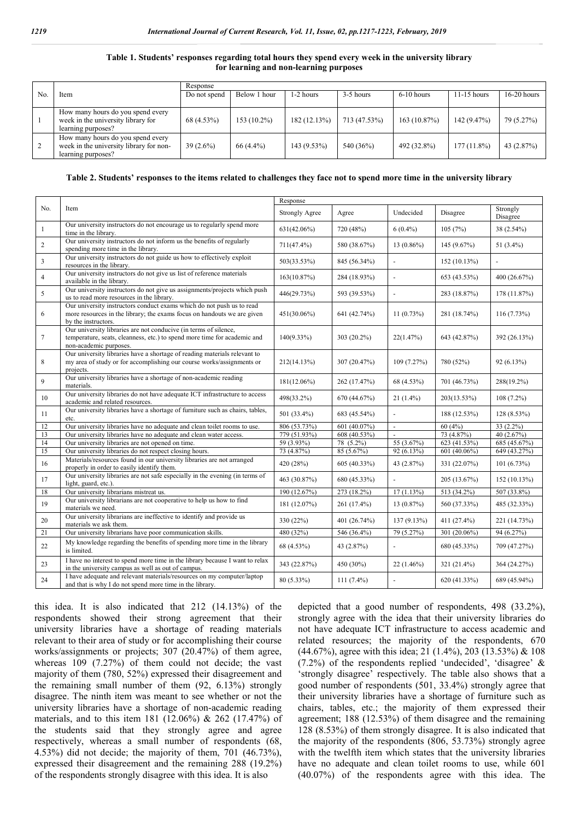#### **Table 1. Students' responses regarding total hours they spend every week in the university library for learning and non-learning purposes**

| No | Item                                                                                               | Response     |               |              |              |              |               |               |  |
|----|----------------------------------------------------------------------------------------------------|--------------|---------------|--------------|--------------|--------------|---------------|---------------|--|
|    |                                                                                                    | Do not spend | Below 1 hour  | 1-2 hours    | 3-5 hours    | $6-10$ hours | $11-15$ hours | $16-20$ hours |  |
|    |                                                                                                    |              |               |              |              |              |               |               |  |
|    | How many hours do you spend every<br>week in the university library for<br>learning purposes?      | 68 (4.53%)   | $153(10.2\%)$ | 182 (12.13%) | 713 (47.53%) | 163(10.87%)  | 142 (9.47%)   | 79 (5.27%)    |  |
| 2  | How many hours do you spend every<br>week in the university library for non-<br>learning purposes? | $39(2.6\%)$  | 66 (4.4%)     | 143 (9.53%)  | 540 (36%)    | 492 (32.8%)  | $177(11.8\%)$ | 43 $(2.87%)$  |  |

#### **Table 2. Students' responses to the items related to challenges they face not to spend more time in the university library**

|                |                                                                                                                                                                         | Response              |               |                |              |                      |  |
|----------------|-------------------------------------------------------------------------------------------------------------------------------------------------------------------------|-----------------------|---------------|----------------|--------------|----------------------|--|
| No.            | Item                                                                                                                                                                    | <b>Strongly Agree</b> | Agree         | Undecided      | Disagree     | Strongly<br>Disagree |  |
| $\mathbf{1}$   | Our university instructors do not encourage us to regularly spend more<br>time in the library.                                                                          | $631(42.06\%)$        | 720 (48%)     | $6(0.4\%)$     | 105(7%)      | 38 (2.54%)           |  |
| $\overline{c}$ | Our university instructors do not inform us the benefits of regularly<br>spending more time in the library.                                                             | $711(47.4\%)$         | 580 (38.67%)  | $13(0.86\%)$   | 145(9.67%)   | 51 $(3.4\%)$         |  |
| 3              | Our university instructors do not guide us how to effectively exploit<br>resources in the library.                                                                      | 503(33.53%)           | 845 (56.34%)  |                | 152(10.13%)  | ÷,                   |  |
| $\overline{4}$ | Our university instructors do not give us list of reference materials<br>available in the library.                                                                      | 163(10.87%)           | 284 (18.93%)  |                | 653 (43.53%) | 400 (26.67%)         |  |
| 5              | Our university instructors do not give us assignments/projects which push<br>us to read more resources in the library.                                                  | 446(29.73%)           | 593 (39.53%)  |                | 283 (18.87%) | 178 (11.87%)         |  |
| 6              | Our university instructors conduct exams which do not push us to read<br>more resources in the library; the exams focus on handouts we are given<br>by the instructors. | 451(30.06%)           | 641 (42.74%)  | 11(0.73%)      | 281 (18.74%) | 116(7.73%)           |  |
| 7              | Our university libraries are not conducive (in terms of silence,<br>temperature, seats, cleanness, etc.) to spend more time for academic and<br>non-academic purposes.  | $140(9.33\%)$         | $303(20.2\%)$ | 22(1.47%)      | 643 (42.87%) | 392 (26.13%)         |  |
| 8              | Our university libraries have a shortage of reading materials relevant to<br>my area of study or for accomplishing our course works/assignments or<br>projects.         | 212(14.13%)           | 307 (20.47%)  | 109(7.27%)     | 780 (52%)    | 92 (6.13%)           |  |
| 9              | Our university libraries have a shortage of non-academic reading<br>materials.                                                                                          | $181(12.06\%)$        | 262 (17.47%)  | 68 (4.53%)     | 701 (46.73%) | 288(19.2%)           |  |
| 10             | Our university libraries do not have adequate ICT infrastructure to access<br>academic and related resources.                                                           | 498(33.2%)            | 670 (44.67%)  | $21(1.4\%)$    | 203(13.53%)  | $108(7.2\%)$         |  |
| 11             | Our university libraries have a shortage of furniture such as chairs, tables,<br>etc.                                                                                   | 501 (33.4%)           | 683 (45.54%)  |                | 188 (12.53%) | 128 (8.53%)          |  |
| 12             | Our university libraries have no adequate and clean toilet rooms to use.                                                                                                | 806 (53.73%)          | 601(40.07%)   | $\Box$         | 60(4%)       | $33(2.2\%)$          |  |
| 13             | Our university libraries have no adequate and clean water access.                                                                                                       | 779 (51.93%)          | 608(40.53%)   |                | 73 (4.87%)   | 40 (2.67%)           |  |
| 14             | Our university libraries are not opened on time.                                                                                                                        | 59 (3.93%)            | 78 (5.2%)     | 55 (3.67%)     | 623 (41.53%) | 685 (45.67%)         |  |
| 15             | Our university libraries do not respect closing hours.                                                                                                                  | 73 (4.87%)            | 85 (5.67%)    | 92 (6.13%)     | 601 (40.06%) | 649 (43.27%)         |  |
| 16             | Materials/resources found in our university libraries are not arranged<br>properly in order to easily identify them.                                                    | 420 (28%)             | 605 (40.33%)  | 43 (2.87%)     | 331 (22.07%) | 101(6.73%)           |  |
| 17             | Our university libraries are not safe especially in the evening (in terms of<br>light, guard, etc.).                                                                    | 463 (30.87%)          | 680 (45.33%)  | $\overline{a}$ | 205 (13.67%) | 152(10.13%)          |  |
| 18             | Our university librarians mistreat us.                                                                                                                                  | 190 (12.67%)          | 273 (18.2%)   | 17(1.13%)      | 513 (34.2%)  | 507 (33.8%)          |  |
| 19             | Our university librarians are not cooperative to help us how to find<br>materials we need.                                                                              | 181 (12.07%)          | 261 (17.4%)   | 13(0.87%)      | 560 (37.33%) | 485 (32.33%)         |  |
| 20             | Our university librarians are ineffective to identify and provide us<br>materials we ask them.                                                                          | 330 (22%)             | 401 (26.74%)  | 137 (9.13%)    | 411 (27.4%)  | 221 (14.73%)         |  |
| 21             | Our university librarians have poor communication skills.                                                                                                               | 480 (32%)             | 546 (36.4%)   | 79 (5.27%)     | 301 (20.06%) | 94 (6.27%)           |  |
| 22             | My knowledge regarding the benefits of spending more time in the library<br>is limited.                                                                                 | 68 (4.53%)            | 43 (2.87%)    |                | 680 (45.33%) | 709 (47.27%)         |  |
| 23             | I have no interest to spend more time in the library because I want to relax<br>in the university campus as well as out of campus.                                      | 343 (22.87%)          | 450 (30%)     | $22(1.46\%)$   | 321 (21.4%)  | 364 (24.27%)         |  |
| 24             | I have adequate and relevant materials/resources on my computer/laptop<br>and that is why I do not spend more time in the library.                                      | 80 (5.33%)            | $111(7.4\%)$  |                | 620 (41.33%) | 689 (45.94%)         |  |

this idea. It is also indicated that 212 (14.13%) of the respondents showed their strong agreement that their university libraries have a shortage of reading materials relevant to their area of study or for accomplishing their course works/assignments or projects; 307 (20.47%) of them agree, whereas 109 (7.27%) of them could not decide; the vast majority of them (780, 52%) expressed their disagreement and the remaining small number of them (92, 6.13%) strongly disagree. The ninth item was meant to see whether or not the university libraries have a shortage of non-academic reading materials, and to this item 181 (12.06%) & 262 (17.47%) of the students said that they strongly agree and agree respectively, whereas a small number of respondents (68, 4.53%) did not decide; the majority of them, 701 (46.73%), expressed their disagreement and the remaining 288 (19.2%) of the respondents strongly disagree with this idea. It is also

depicted that a good number of respondents, 498 (33.2%), strongly agree with the idea that their university libraries do not have adequate ICT infrastructure to access academic and related resources; the majority of the respondents, 670 (44.67%), agree with this idea; 21 (1.4%), 203 (13.53%) & 108 (7.2%) of the respondents replied 'undecided', 'disagree' & 'strongly disagree' respectively. The table also shows that a good number of respondents (501, 33.4%) strongly agree that their university libraries have a shortage of furniture such as chairs, tables, etc.; the majority of them expressed their agreement; 188 (12.53%) of them disagree and the remaining 128 (8.53%) of them strongly disagree. It is also indicated that the majority of the respondents (806, 53.73%) strongly agree with the twelfth item which states that the university libraries have no adequate and clean toilet rooms to use, while 601 (40.07%) of the respondents agree with this idea. The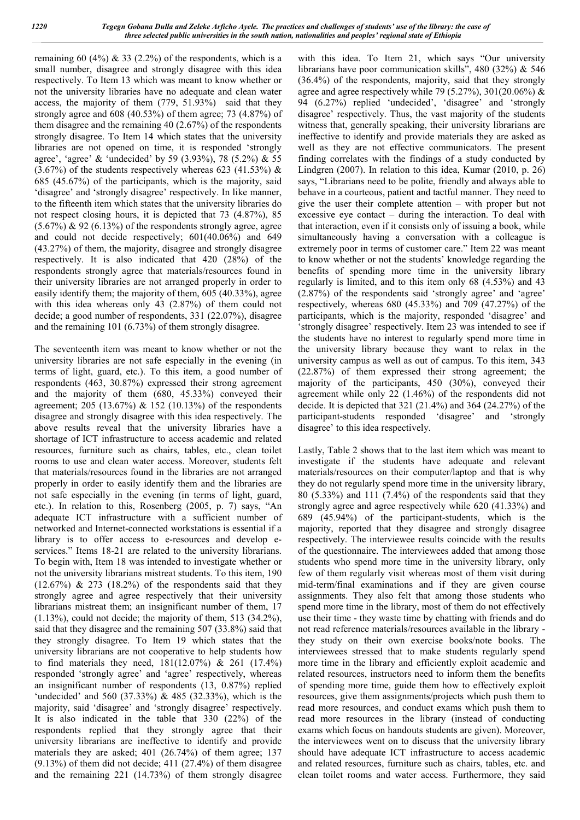remaining 60 (4%)  $\&$  33 (2.2%) of the respondents, which is a small number, disagree and strongly disagree with this idea respectively. To Item 13 which was meant to know whether or not the university libraries have no adequate and clean water access, the majority of them (779, 51.93%) said that they strongly agree and 608 (40.53%) of them agree; 73 (4.87%) of them disagree and the remaining 40 (2.67%) of the respondents strongly disagree. To Item 14 which states that the university libraries are not opened on time, it is responded 'strongly agree', 'agree' & 'undecided' by 59 (3.93%), 78 (5.2%) & 55  $(3.67%)$  of the students respectively whereas 623 (41.53%) & 685 (45.67%) of the participants, which is the majority, said 'disagree' and 'strongly disagree' respectively. In like manner, to the fifteenth item which states that the university libraries do not respect closing hours, it is depicted that 73 (4.87%), 85  $(5.67%)$  & 92  $(6.13%)$  of the respondents strongly agree, agree and could not decide respectively; 601(40.06%) and 649 (43.27%) of them, the majority, disagree and strongly disagree respectively. It is also indicated that 420 (28%) of the respondents strongly agree that materials/resources found in their university libraries are not arranged properly in order to easily identify them; the majority of them, 605 (40.33%), agree with this idea whereas only 43 (2.87%) of them could not decide; a good number of respondents, 331 (22.07%), disagree and the remaining 101 (6.73%) of them strongly disagree.

The seventeenth item was meant to know whether or not the university libraries are not safe especially in the evening (in terms of light, guard, etc.). To this item, a good number of respondents (463, 30.87%) expressed their strong agreement and the majority of them (680, 45.33%) conveyed their agreement; 205 (13.67%) & 152 (10.13%) of the respondents disagree and strongly disagree with this idea respectively. The above results reveal that the university libraries have a shortage of ICT infrastructure to access academic and related resources, furniture such as chairs, tables, etc., clean toilet rooms to use and clean water access. Moreover, students felt that materials/resources found in the libraries are not arranged properly in order to easily identify them and the libraries are not safe especially in the evening (in terms of light, guard, etc.). In relation to this, Rosenberg (2005, p. 7) says, "An adequate ICT infrastructure with a sufficient number of networked and Internet-connected workstations is essential if a library is to offer access to e-resources and develop eservices." Items 18-21 are related to the university librarians. To begin with, Item 18 was intended to investigate whether or not the university librarians mistreat students. To this item, 190  $(12.67%)$  & 273  $(18.2%)$  of the respondents said that they strongly agree and agree respectively that their university librarians mistreat them; an insignificant number of them, 17  $(1.13\%)$ , could not decide; the majority of them, 513 (34.2%), said that they disagree and the remaining 507 (33.8%) said that they strongly disagree. To Item 19 which states that the university librarians are not cooperative to help students how to find materials they need, 181(12.07%) & 261 (17.4%) responded 'strongly agree' and 'agree' respectively, whereas an insignificant number of respondents (13, 0.87%) replied 'undecided' and 560 (37.33%) & 485 (32.33%), which is the majority, said 'disagree' and 'strongly disagree' respectively. It is also indicated in the table that 330 (22%) of the respondents replied that they strongly agree that their university librarians are ineffective to identify and provide materials they are asked; 401 (26.74%) of them agree; 137  $(9.13\%)$  of them did not decide; 411  $(27.4\%)$  of them disagree and the remaining 221 (14.73%) of them strongly disagree

with this idea. To Item 21, which says "Our university librarians have poor communication skills", 480 (32%) & 546 (36.4%) of the respondents, majority, said that they strongly agree and agree respectively while 79 (5.27%), 301(20.06%)  $\&$ 94 (6.27%) replied 'undecided', 'disagree' and 'strongly disagree' respectively. Thus, the vast majority of the students witness that, generally speaking, their university librarians are ineffective to identify and provide materials they are asked as well as they are not effective communicators. The present finding correlates with the findings of a study conducted by Lindgren (2007). In relation to this idea, Kumar (2010, p. 26) says, "Librarians need to be polite, friendly and always able to behave in a courteous, patient and tactful manner. They need to give the user their complete attention – with proper but not excessive eye contact – during the interaction. To deal with that interaction, even if it consists only of issuing a book, while simultaneously having a conversation with a colleague is extremely poor in terms of customer care." Item 22 was meant to know whether or not the students' knowledge regarding the benefits of spending more time in the university library regularly is limited, and to this item only 68 (4.53%) and 43 (2.87%) of the respondents said 'strongly agree' and 'agree' respectively, whereas 680 (45.33%) and 709 (47.27%) of the participants, which is the majority, responded 'disagree' and 'strongly disagree' respectively. Item 23 was intended to see if the students have no interest to regularly spend more time in the university library because they want to relax in the university campus as well as out of campus. To this item, 343 (22.87%) of them expressed their strong agreement; the majority of the participants, 450 (30%), conveyed their agreement while only 22 (1.46%) of the respondents did not decide. It is depicted that 321 (21.4%) and 364 (24.27%) of the participant-students responded 'disagree' and 'strongly disagree' to this idea respectively.

Lastly, Table 2 shows that to the last item which was meant to investigate if the students have adequate and relevant materials/resources on their computer/laptop and that is why they do not regularly spend more time in the university library, 80 (5.33%) and 111 (7.4%) of the respondents said that they strongly agree and agree respectively while 620 (41.33%) and 689 (45.94%) of the participant-students, which is the majority, reported that they disagree and strongly disagree respectively. The interviewee results coincide with the results of the questionnaire. The interviewees added that among those students who spend more time in the university library, only few of them regularly visit whereas most of them visit during mid-term/final examinations and if they are given course assignments. They also felt that among those students who spend more time in the library, most of them do not effectively use their time - they waste time by chatting with friends and do not read reference materials/resources available in the library they study on their own exercise books/note books. The interviewees stressed that to make students regularly spend more time in the library and efficiently exploit academic and related resources, instructors need to inform them the benefits of spending more time, guide them how to effectively exploit resources, give them assignments/projects which push them to read more resources, and conduct exams which push them to read more resources in the library (instead of conducting exams which focus on handouts students are given). Moreover, the interviewees went on to discuss that the university library should have adequate ICT infrastructure to access academic and related resources, furniture such as chairs, tables, etc. and clean toilet rooms and water access. Furthermore, they said